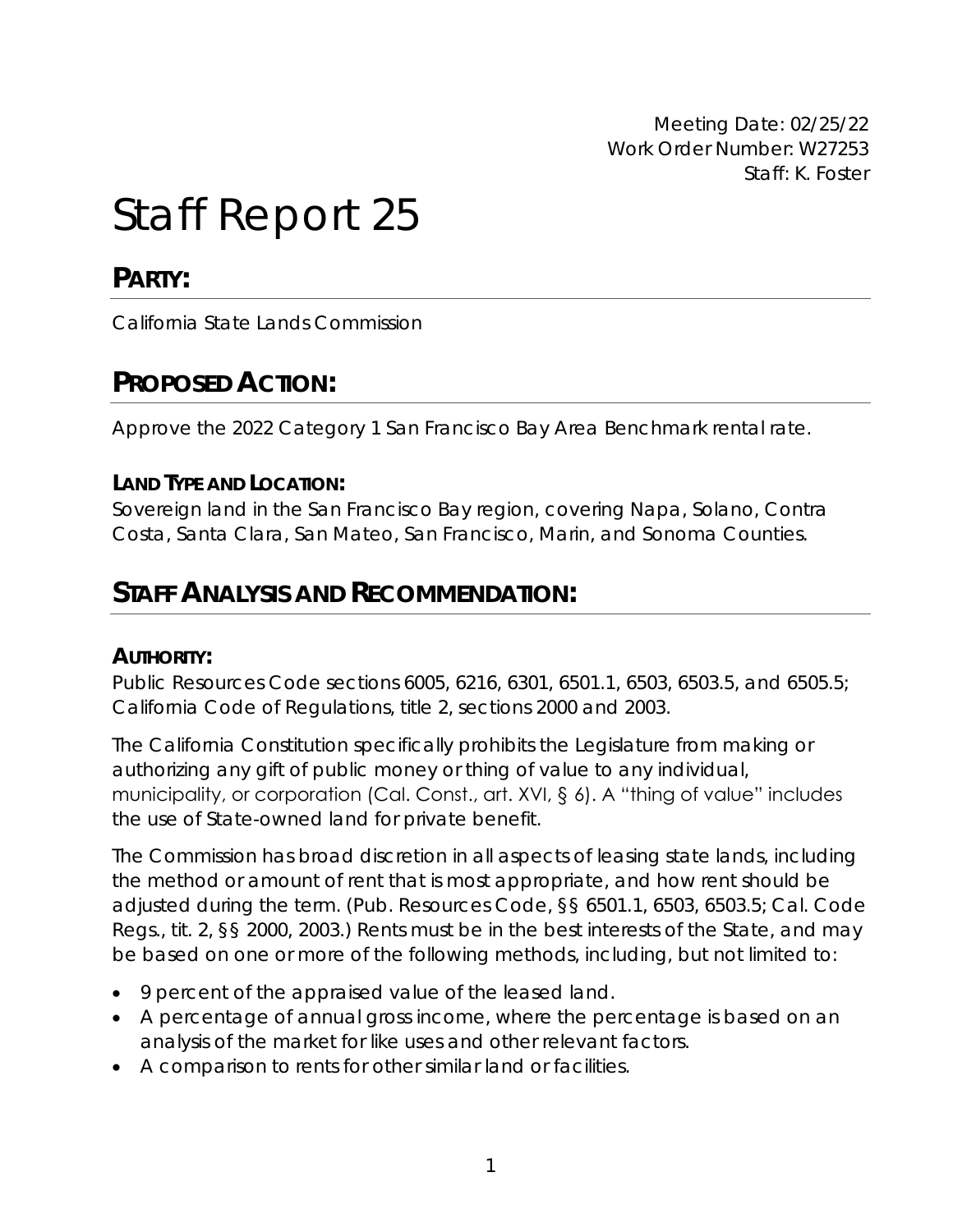Meeting Date: 02/25/22 Work Order Number: W27253 Staff: K. Foster

# Staff Report 25

**PARTY:**

California State Lands Commission

## **PROPOSED ACTION:**

Approve the 2022 Category 1 San Francisco Bay Area Benchmark rental rate.

### **LAND TYPE AND LOCATION:**

Sovereign land in the San Francisco Bay region, covering Napa, Solano, Contra Costa, Santa Clara, San Mateo, San Francisco, Marin, and Sonoma Counties.

## **STAFF ANALYSIS AND RECOMMENDATION:**

### **AUTHORITY:**

Public Resources Code sections 6005, 6216, 6301, 6501.1, 6503, 6503.5, and 6505.5; California Code of Regulations, title 2, sections 2000 and 2003.

The California Constitution specifically prohibits the Legislature from making or authorizing any gift of public money or thing of value to any individual, municipality, or corporation (Cal. Const., art. XVI, § 6). A "thing of value" includes the use of State-owned land for private benefit.

The Commission has broad discretion in all aspects of leasing state lands, including the method or amount of rent that is most appropriate, and how rent should be adjusted during the term. (Pub. Resources Code, §§ 6501.1, 6503, 6503.5; Cal. Code Regs., tit. 2, §§ 2000, 2003.) Rents must be in the best interests of the State, and may be based on one or more of the following methods, including, but not limited to:

- 9 percent of the appraised value of the leased land.
- A percentage of annual gross income, where the percentage is based on an analysis of the market for like uses and other relevant factors.
- A comparison to rents for other similar land or facilities.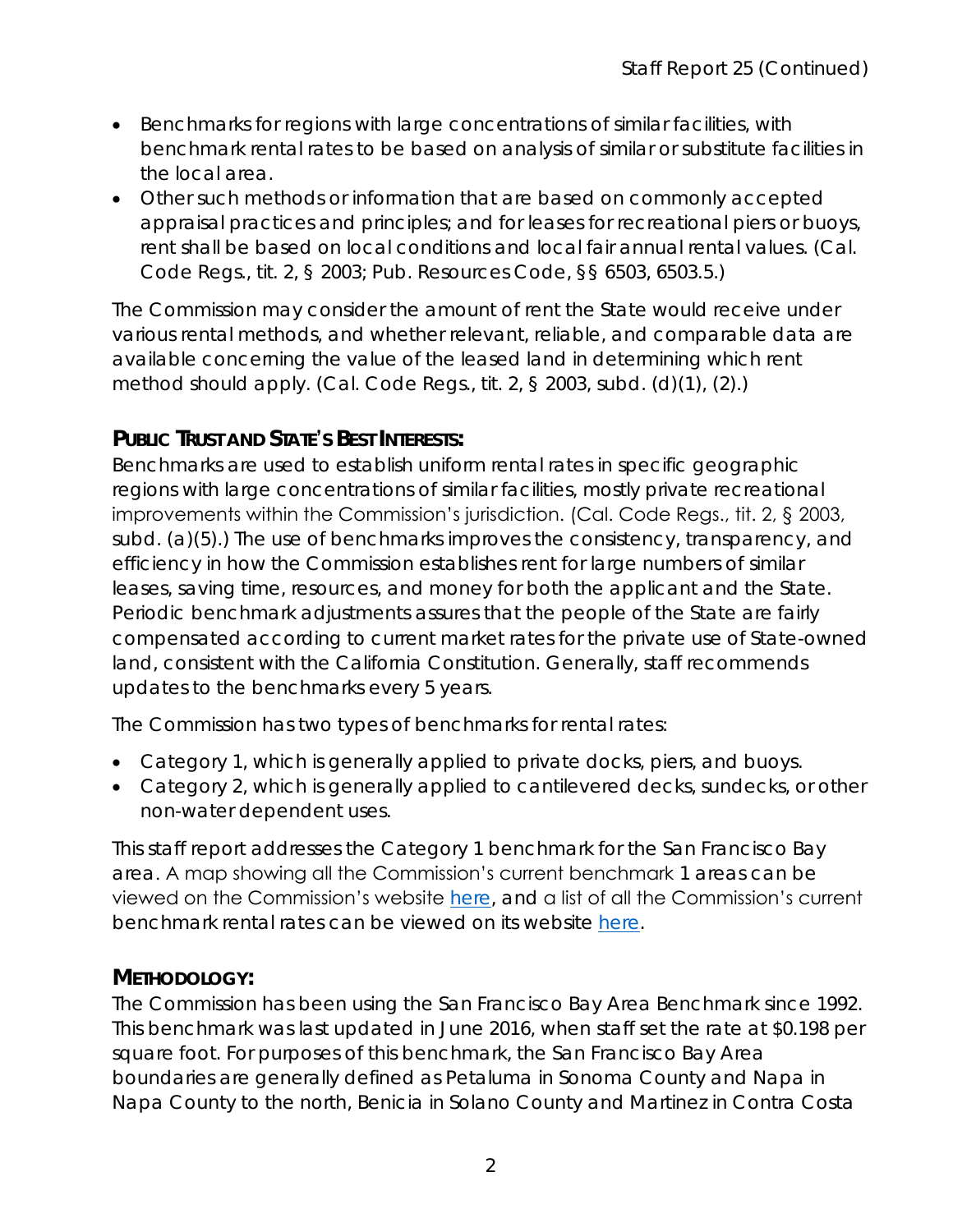- Benchmarks for regions with large concentrations of similar facilities, with benchmark rental rates to be based on analysis of similar or substitute facilities in the local area.
- Other such methods or information that are based on commonly accepted appraisal practices and principles; and for leases for recreational piers or buoys, rent shall be based on local conditions and local fair annual rental values. (Cal. Code Regs., tit. 2, § 2003; Pub. Resources Code, §§ 6503, 6503.5.)

The Commission may consider the amount of rent the State would receive under various rental methods, and whether relevant, reliable, and comparable data are available concerning the value of the leased land in determining which rent method should apply. (Cal. Code Regs., tit. 2, § 2003, subd. (d)(1), (2).)

### **PUBLIC TRUST AND STATE'S BEST INTERESTS:**

Benchmarks are used to establish uniform rental rates in specific geographic regions with large concentrations of similar facilities, mostly private recreational improvements within the Commission's jurisdiction. (Cal. Code Regs., tit. 2, § 2003, subd. (a)(5).) The use of benchmarks improves the consistency, transparency, and efficiency in how the Commission establishes rent for large numbers of similar leases, saving time, resources, and money for both the applicant and the State. Periodic benchmark adjustments assures that the people of the State are fairly compensated according to current market rates for the private use of State-owned land, consistent with the California Constitution. Generally, staff recommends updates to the benchmarks every 5 years.

The Commission has two types of benchmarks for rental rates:

- Category 1, which is generally applied to private docks, piers, and buoys.
- Category 2, which is generally applied to cantilevered decks, sundecks, or other non-water dependent uses.

This staff report addresses the Category 1 benchmark for the San Francisco Bay area. A map showing all the Commission's current benchmark 1 areas can be viewed on the Commission's website [here,](https://slcprdwordpressstorage.blob.core.windows.net/wordpressdata/2021/12/Benchmarks-Update.jpg) and a list of all the Commission's current benchmark rental rates can be viewed on its website [here.](https://www.slc.ca.gov/leases-permits/benchmarks/)

### **METHODOLOGY:**

The Commission has been using the San Francisco Bay Area Benchmark since 1992. This benchmark was last updated in June 2016, when staff set the rate at \$0.198 per square foot. For purposes of this benchmark, the San Francisco Bay Area boundaries are generally defined as Petaluma in Sonoma County and Napa in Napa County to the north, Benicia in Solano County and Martinez in Contra Costa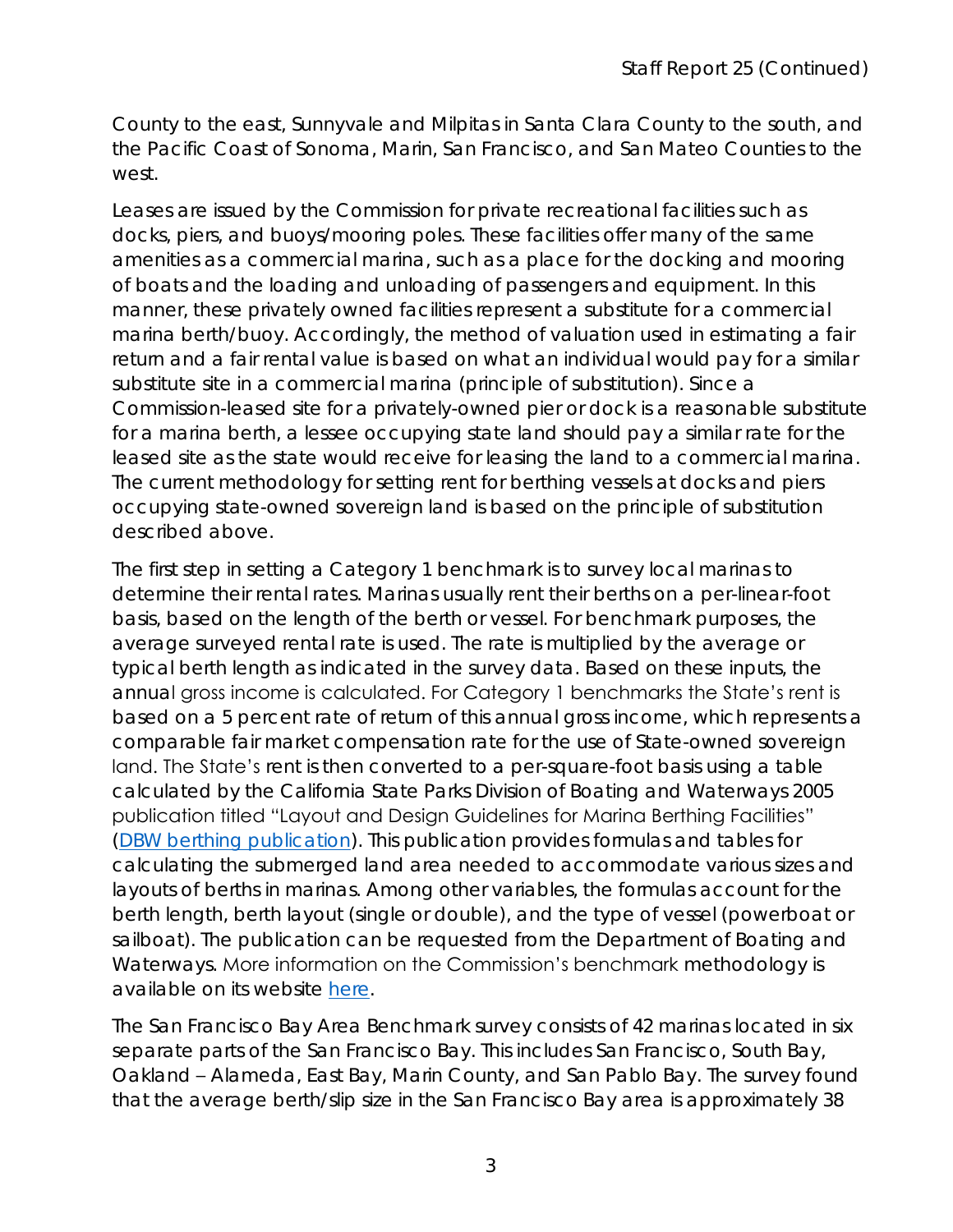County to the east, Sunnyvale and Milpitas in Santa Clara County to the south, and the Pacific Coast of Sonoma, Marin, San Francisco, and San Mateo Counties to the west.

Leases are issued by the Commission for private recreational facilities such as docks, piers, and buoys/mooring poles. These facilities offer many of the same amenities as a commercial marina, such as a place for the docking and mooring of boats and the loading and unloading of passengers and equipment. In this manner, these privately owned facilities represent a substitute for a commercial marina berth/buoy. Accordingly, the method of valuation used in estimating a fair return and a fair rental value is based on what an individual would pay for a similar substitute site in a commercial marina (principle of substitution). Since a Commission-leased site for a privately-owned pier or dock is a reasonable substitute for a marina berth, a lessee occupying state land should pay a similar rate for the leased site as the state would receive for leasing the land to a commercial marina. The current methodology for setting rent for berthing vessels at docks and piers occupying state-owned sovereign land is based on the principle of substitution described above.

The first step in setting a Category 1 benchmark is to survey local marinas to determine their rental rates. Marinas usually rent their berths on a per-linear-foot basis, based on the length of the berth or vessel. For benchmark purposes, the average surveyed rental rate is used. The rate is multiplied by the average or typical berth length as indicated in the survey data. Based on these inputs, the annual gross income is calculated. For Category 1 benchmarks the State's rent is based on a 5 percent rate of return of this annual gross income, which represents a comparable fair market compensation rate for the use of State-owned sovereign land. The State's rent is then converted to a per-square-foot basis using a table calculated by the California State Parks Division of Boating and Waterways 2005 publication titled "Layout and Design Guidelines for Marina Berthing Facilities" [\(DBW berthing publication\)](http://dbw.parks.ca.gov/pages/28702/files/Guide05.pdf). This publication provides formulas and tables for calculating the submerged land area needed to accommodate various sizes and layouts of berths in marinas. Among other variables, the formulas account for the berth length, berth layout (single or double), and the type of vessel (powerboat or sailboat). The publication can be requested from the Department of Boating and Waterways. More information on the Commission's benchmark methodology is available on its website [here.](https://www.slc.ca.gov/leases-permits/benchmark-methodology/)

The San Francisco Bay Area Benchmark survey consists of 42 marinas located in six separate parts of the San Francisco Bay. This includes San Francisco, South Bay, Oakland – Alameda, East Bay, Marin County, and San Pablo Bay. The survey found that the average berth/slip size in the San Francisco Bay area is approximately 38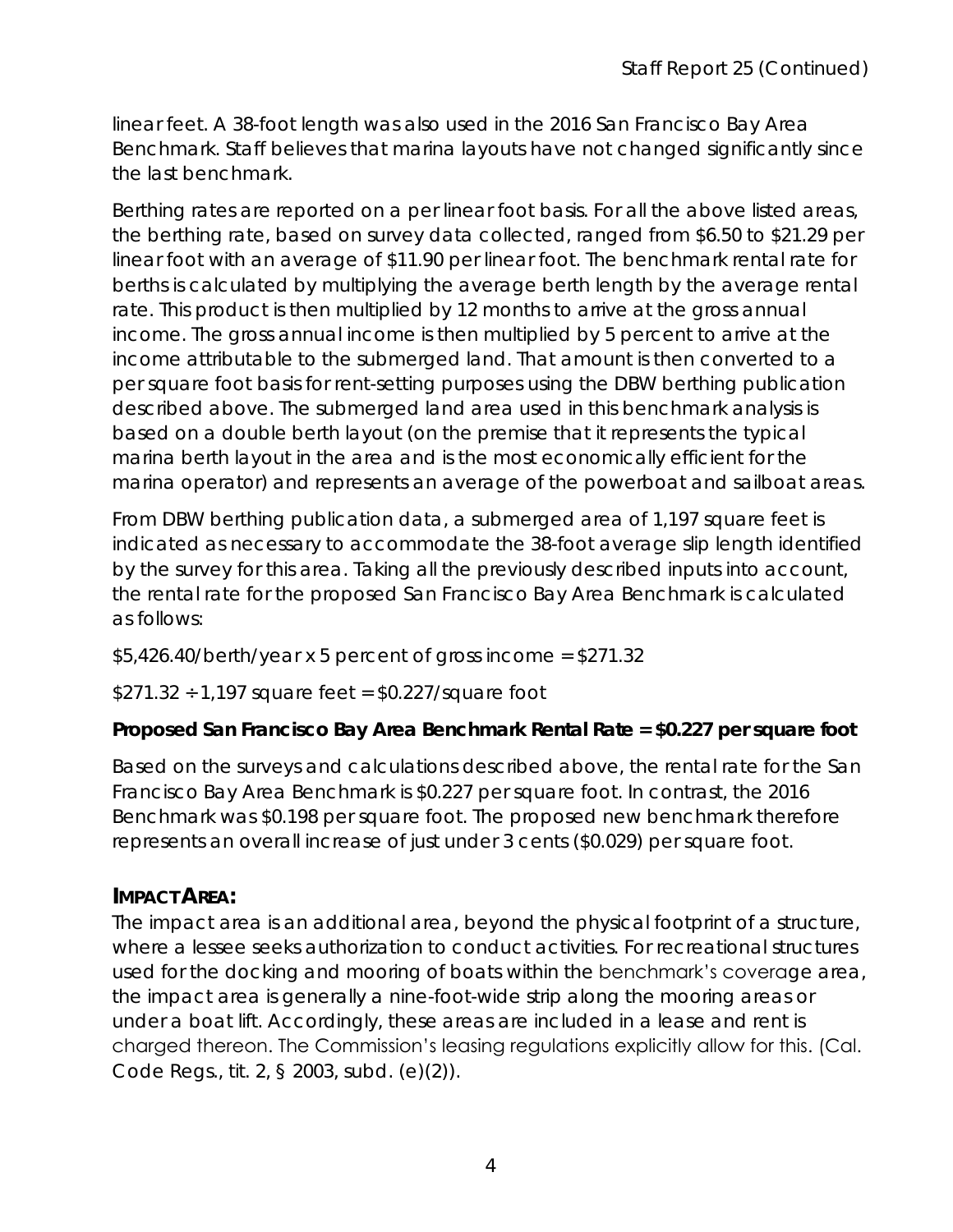linear feet. A 38-foot length was also used in the 2016 San Francisco Bay Area Benchmark. Staff believes that marina layouts have not changed significantly since the last benchmark.

Berthing rates are reported on a per linear foot basis. For all the above listed areas, the berthing rate, based on survey data collected, ranged from \$6.50 to \$21.29 per linear foot with an average of \$11.90 per linear foot. The benchmark rental rate for berths is calculated by multiplying the average berth length by the average rental rate. This product is then multiplied by 12 months to arrive at the gross annual income. The gross annual income is then multiplied by 5 percent to arrive at the income attributable to the submerged land. That amount is then converted to a per square foot basis for rent-setting purposes using the DBW berthing publication described above. The submerged land area used in this benchmark analysis is based on a double berth layout (on the premise that it represents the typical marina berth layout in the area and is the most economically efficient for the marina operator) and represents an average of the powerboat and sailboat areas.

From DBW berthing publication data, a submerged area of 1,197 square feet is indicated as necessary to accommodate the 38-foot average slip length identified by the survey for this area. Taking all the previously described inputs into account, the rental rate for the proposed San Francisco Bay Area Benchmark is calculated as follows:

 $$5,426.40/berth/year \times 5 percent of gross income = $271.32$ 

 $$271.32 \div 1,197$  square feet =  $$0.227/s$ quare foot

**Proposed San Francisco Bay Area Benchmark Rental Rate = \$0.227 per square foot**

Based on the surveys and calculations described above, the rental rate for the San Francisco Bay Area Benchmark is \$0.227 per square foot. In contrast, the 2016 Benchmark was \$0.198 per square foot. The proposed new benchmark therefore represents an overall increase of just under 3 cents (\$0.029) per square foot.

### **IMPACT AREA:**

The impact area is an additional area, beyond the physical footprint of a structure, where a lessee seeks authorization to conduct activities. For recreational structures used for the docking and mooring of boats within the benchmark's coverage area, the impact area is generally a nine-foot-wide strip along the mooring areas or under a boat lift. Accordingly, these areas are included in a lease and rent is charged thereon. The Commission's leasing regulations explicitly allow for this. (Cal. Code Regs., tit. 2, § 2003, subd. (e)(2)).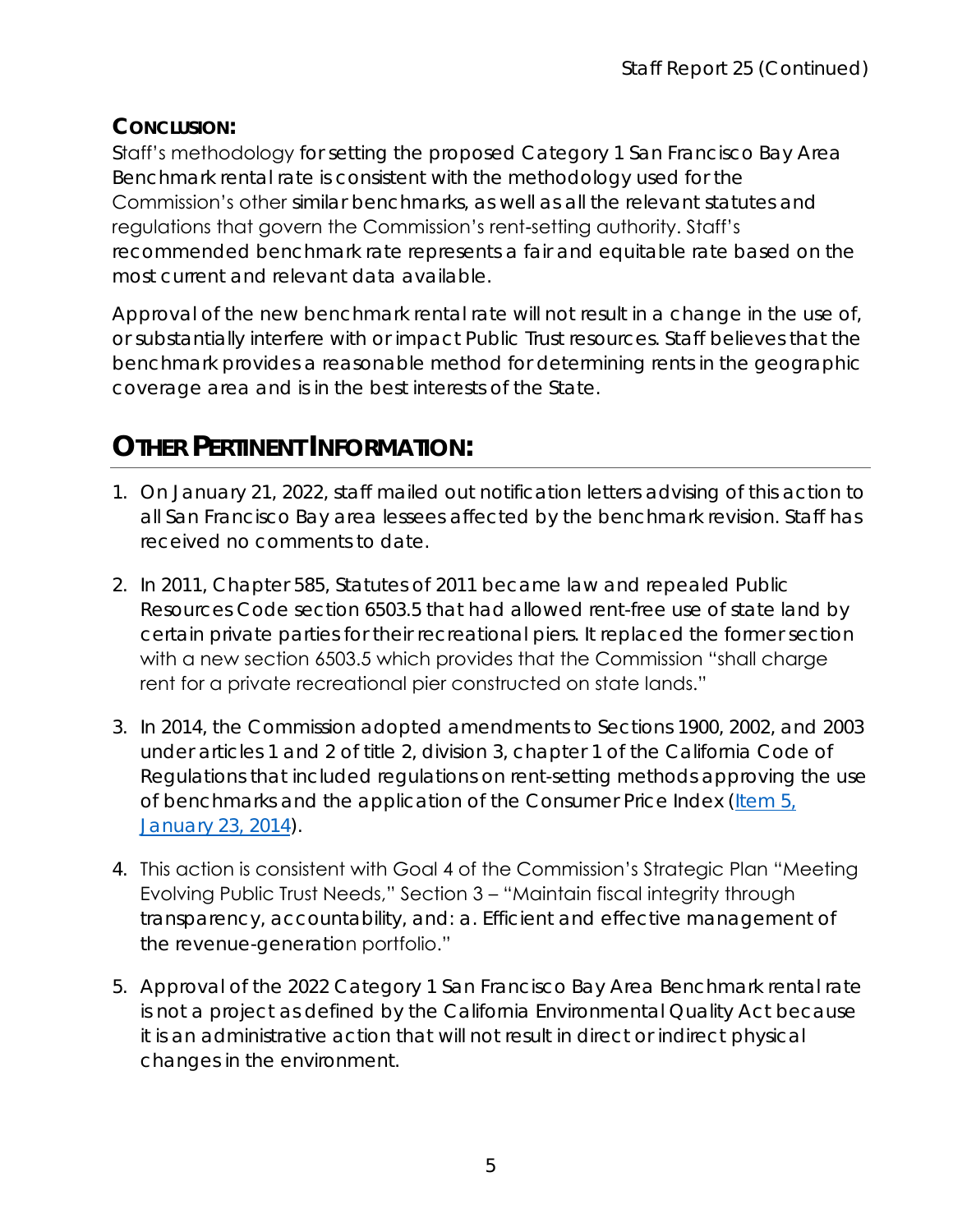### **CONCLUSION:**

Staff's methodology for setting the proposed Category 1 San Francisco Bay Area Benchmark rental rate is consistent with the methodology used for the Commission's other similar benchmarks, as well as all the relevant statutes and regulations that govern the Commission's rent-setting authority. Staff's recommended benchmark rate represents a fair and equitable rate based on the most current and relevant data available.

Approval of the new benchmark rental rate will not result in a change in the use of, or substantially interfere with or impact Public Trust resources. Staff believes that the benchmark provides a reasonable method for determining rents in the geographic coverage area and is in the best interests of the State.

# **OTHER PERTINENT INFORMATION:**

- 1. On January 21, 2022, staff mailed out notification letters advising of this action to all San Francisco Bay area lessees affected by the benchmark revision. Staff has received no comments to date.
- 2. In 2011, Chapter 585, Statutes of 2011 became law and repealed Public Resources Code section 6503.5 that had allowed rent-free use of state land by certain private parties for their recreational piers. It replaced the former section with a new section 6503.5 which provides that the Commission "shall charge rent for a private recreational pier constructed on state lands."
- 3. In 2014, the Commission adopted amendments to Sections 1900, 2002, and 2003 under articles 1 and 2 of title 2, division 3, chapter 1 of the California Code of Regulations that included regulations on rent-setting methods approving the use of benchmarks and the application of the Consumer Price Index (Item 5, [January 23, 2014\)](https://www.slc.ca.gov/Meeting_Summaries/2014_Documents/01-23-14/Items_and_exhibits/05.pdf).
- 4. This action is consistent with Goal 4 of the Commission's Strategic Plan "Meeting Evolving Public Trust Needs," Section 3 – "Maintain fiscal integrity through transparency, accountability, and: a. Efficient and effective management of the revenue-generation portfolio."
- 5. Approval of the 2022 Category 1 San Francisco Bay Area Benchmark rental rate is not a project as defined by the California Environmental Quality Act because it is an administrative action that will not result in direct or indirect physical changes in the environment.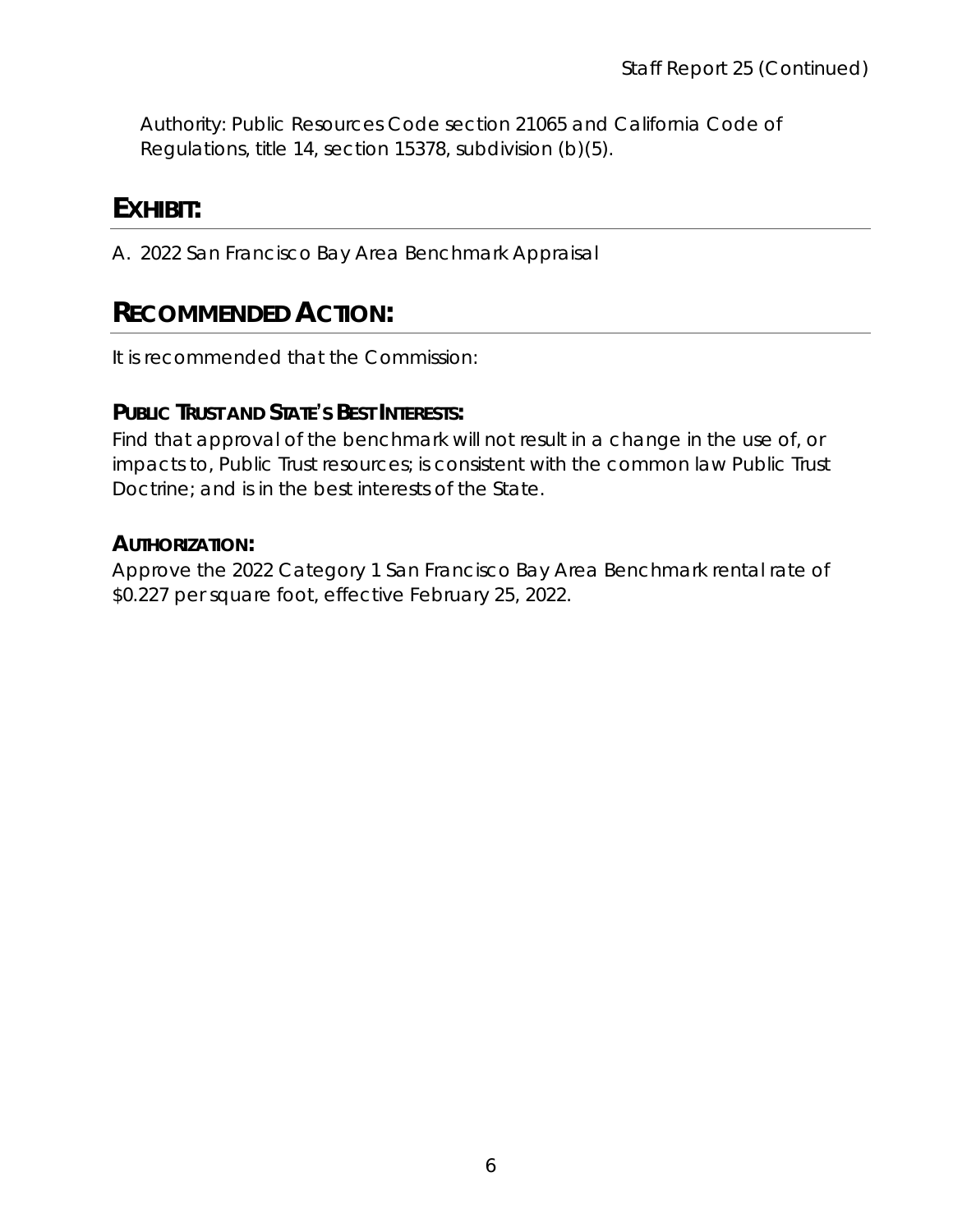Authority: Public Resources Code section 21065 and California Code of Regulations, title 14, section 15378, subdivision (b)(5).

# **EXHIBIT:**

A. 2022 San Francisco Bay Area Benchmark Appraisal

# **RECOMMENDED ACTION:**

It is recommended that the Commission:

**PUBLIC TRUST AND STATE'S BEST INTERESTS:**

Find that approval of the benchmark will not result in a change in the use of, or impacts to, Public Trust resources; is consistent with the common law Public Trust Doctrine; and is in the best interests of the State.

**AUTHORIZATION:**

Approve the 2022 Category 1 San Francisco Bay Area Benchmark rental rate of \$0.227 per square foot, effective February 25, 2022.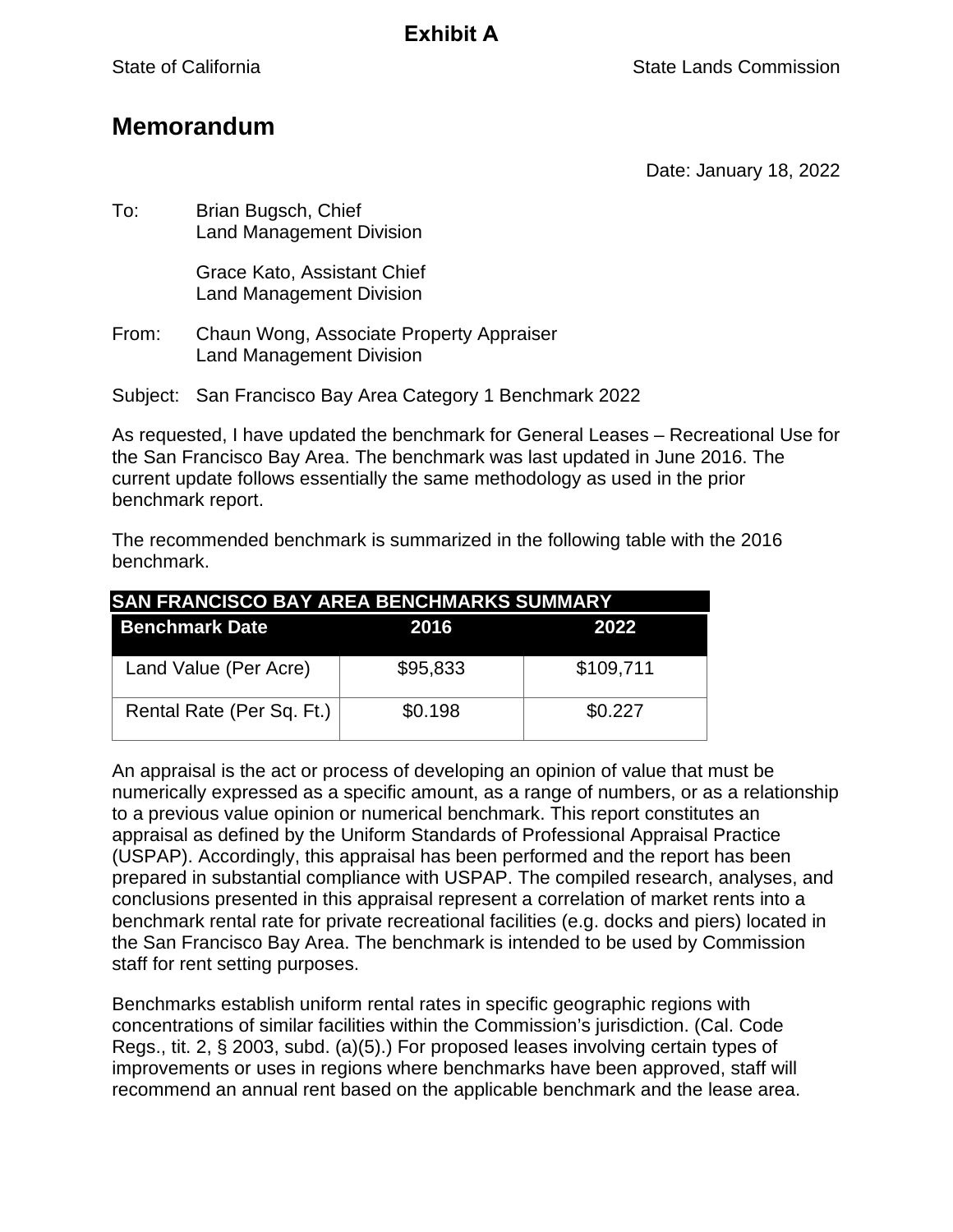### **Memorandum**

Date: January 18, 2022

To: Brian Bugsch, Chief Land Management Division

> Grace Kato, Assistant Chief Land Management Division

From: Chaun Wong, Associate Property Appraiser Land Management Division

Subject: San Francisco Bay Area Category 1 Benchmark 2022

As requested, I have updated the benchmark for General Leases – Recreational Use for the San Francisco Bay Area. The benchmark was last updated in June 2016. The current update follows essentially the same methodology as used in the prior benchmark report.

The recommended benchmark is summarized in the following table with the 2016 benchmark.

| SAN FRANCISCO BAY AREA BENCHMARKS SUMMARY |          |           |
|-------------------------------------------|----------|-----------|
| <b>Benchmark Date</b>                     | 2016     | 2022      |
| Land Value (Per Acre)                     | \$95,833 | \$109,711 |
| Rental Rate (Per Sq. Ft.)                 | \$0.198  | \$0.227   |

An appraisal is the act or process of developing an opinion of value that must be numerically expressed as a specific amount, as a range of numbers, or as a relationship to a previous value opinion or numerical benchmark. This report constitutes an appraisal as defined by the Uniform Standards of Professional Appraisal Practice (USPAP). Accordingly, this appraisal has been performed and the report has been prepared in substantial compliance with USPAP. The compiled research, analyses, and conclusions presented in this appraisal represent a correlation of market rents into a benchmark rental rate for private recreational facilities (e.g. docks and piers) located in the San Francisco Bay Area. The benchmark is intended to be used by Commission staff for rent setting purposes.

Benchmarks establish uniform rental rates in specific geographic regions with concentrations of similar facilities within the Commission's jurisdiction. (Cal. Code Regs., tit. 2, § 2003, subd. (a)(5).) For proposed leases involving certain types of improvements or uses in regions where benchmarks have been approved, staff will recommend an annual rent based on the applicable benchmark and the lease area.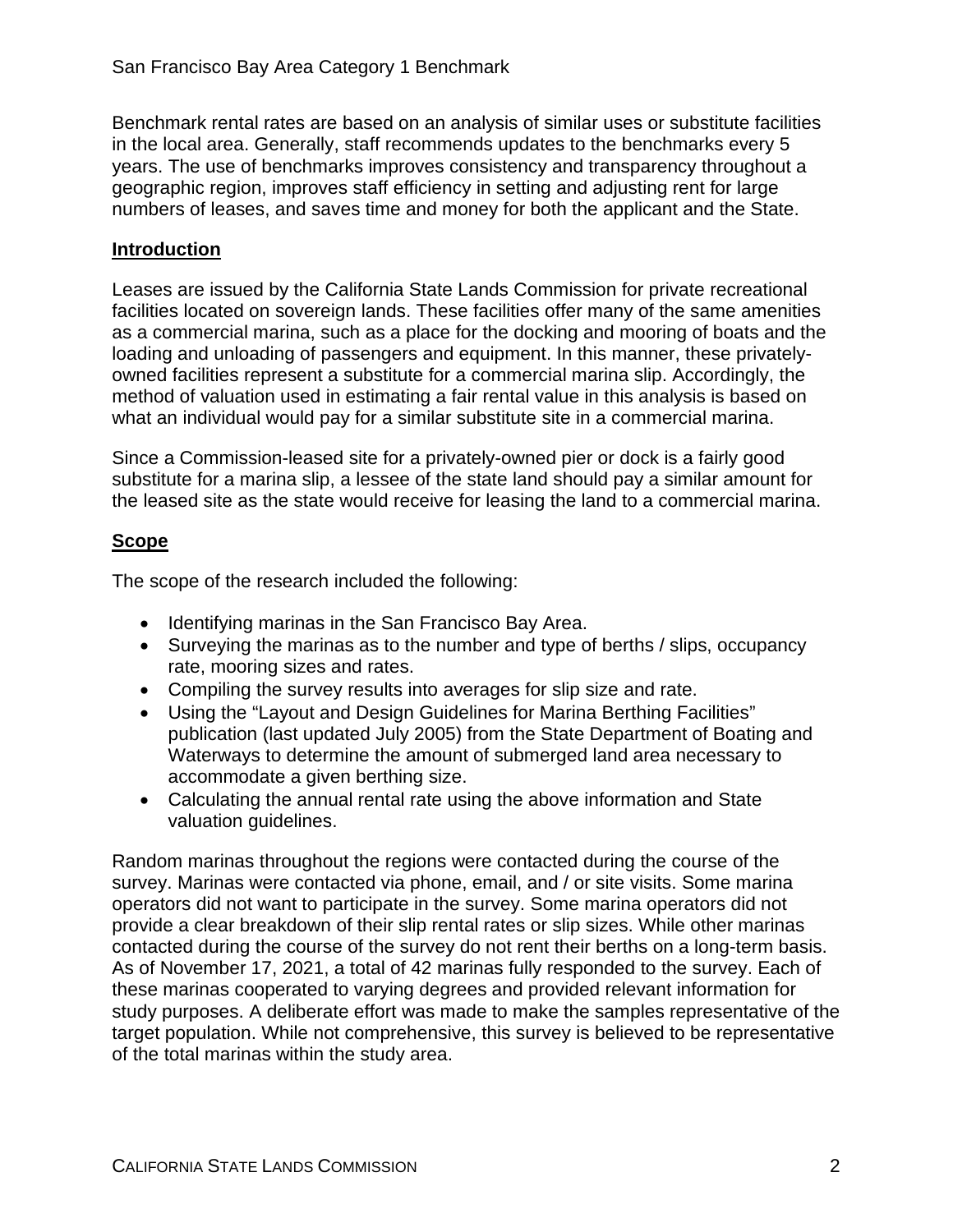Benchmark rental rates are based on an analysis of similar uses or substitute facilities in the local area. Generally, staff recommends updates to the benchmarks every 5 years. The use of benchmarks improves consistency and transparency throughout a geographic region, improves staff efficiency in setting and adjusting rent for large numbers of leases, and saves time and money for both the applicant and the State.

#### **Introduction**

Leases are issued by the California State Lands Commission for private recreational facilities located on sovereign lands. These facilities offer many of the same amenities as a commercial marina, such as a place for the docking and mooring of boats and the loading and unloading of passengers and equipment. In this manner, these privatelyowned facilities represent a substitute for a commercial marina slip. Accordingly, the method of valuation used in estimating a fair rental value in this analysis is based on what an individual would pay for a similar substitute site in a commercial marina.

Since a Commission-leased site for a privately-owned pier or dock is a fairly good substitute for a marina slip, a lessee of the state land should pay a similar amount for the leased site as the state would receive for leasing the land to a commercial marina.

### **Scope**

The scope of the research included the following:

- Identifying marinas in the San Francisco Bay Area.
- Surveying the marinas as to the number and type of berths / slips, occupancy rate, mooring sizes and rates.
- Compiling the survey results into averages for slip size and rate.
- Using the "Layout and Design Guidelines for Marina Berthing Facilities" publication (last updated July 2005) from the State Department of Boating and Waterways to determine the amount of submerged land area necessary to accommodate a given berthing size.
- Calculating the annual rental rate using the above information and State valuation guidelines.

Random marinas throughout the regions were contacted during the course of the survey. Marinas were contacted via phone, email, and / or site visits. Some marina operators did not want to participate in the survey. Some marina operators did not provide a clear breakdown of their slip rental rates or slip sizes. While other marinas contacted during the course of the survey do not rent their berths on a long-term basis. As of November 17, 2021, a total of 42 marinas fully responded to the survey. Each of these marinas cooperated to varying degrees and provided relevant information for study purposes. A deliberate effort was made to make the samples representative of the target population. While not comprehensive, this survey is believed to be representative of the total marinas within the study area.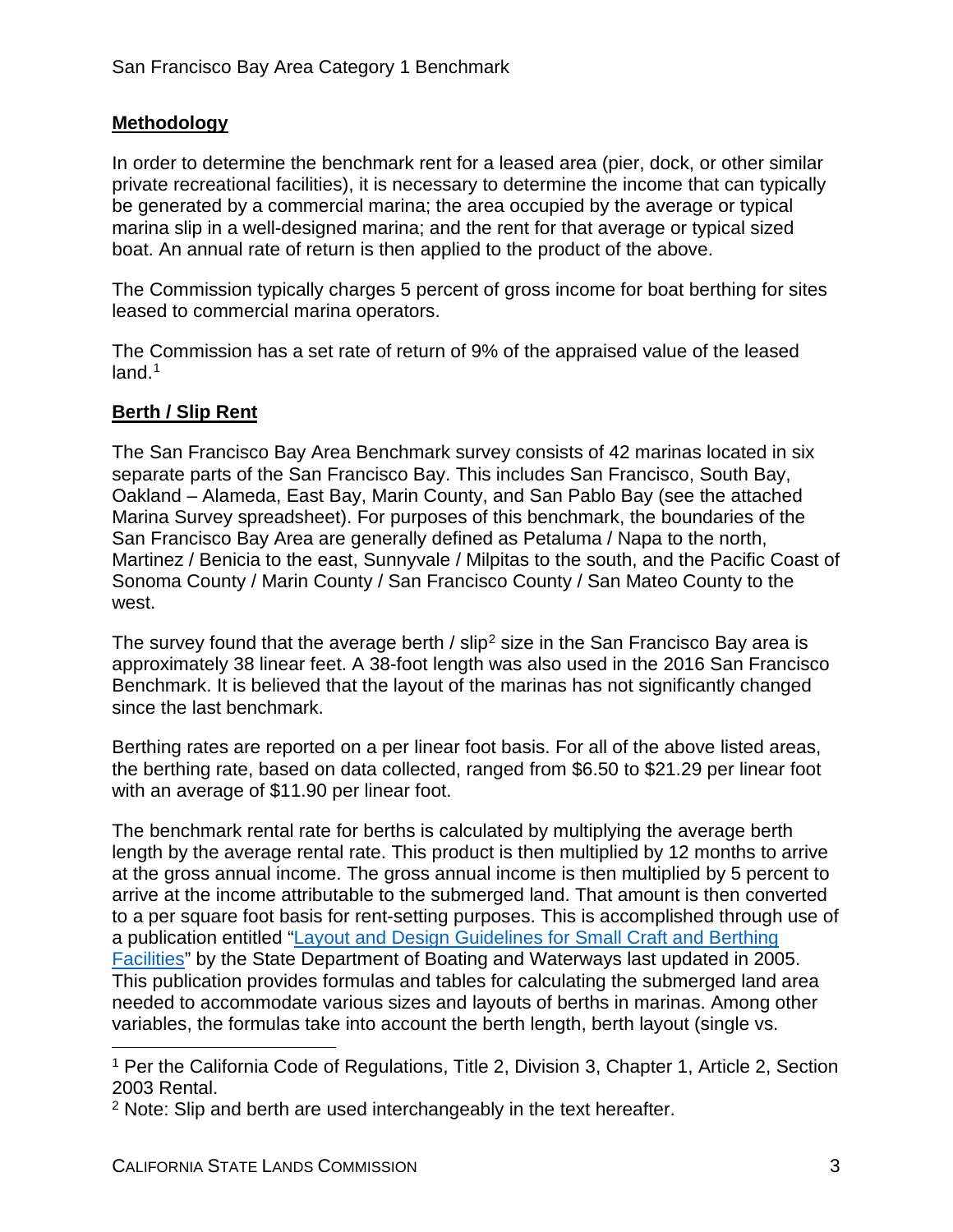### **Methodology**

In order to determine the benchmark rent for a leased area (pier, dock, or other similar private recreational facilities), it is necessary to determine the income that can typically be generated by a commercial marina; the area occupied by the average or typical marina slip in a well-designed marina; and the rent for that average or typical sized boat. An annual rate of return is then applied to the product of the above.

The Commission typically charges 5 percent of gross income for boat berthing for sites leased to commercial marina operators.

The Commission has a set rate of return of 9% of the appraised value of the leased land.<sup>[1](#page-8-0)</sup>

### **Berth / Slip Rent**

The San Francisco Bay Area Benchmark survey consists of 42 marinas located in six separate parts of the San Francisco Bay. This includes San Francisco, South Bay, Oakland – Alameda, East Bay, Marin County, and San Pablo Bay (see the attached Marina Survey spreadsheet). For purposes of this benchmark, the boundaries of the San Francisco Bay Area are generally defined as Petaluma / Napa to the north, Martinez / Benicia to the east, Sunnyvale / Milpitas to the south, and the Pacific Coast of Sonoma County / Marin County / San Francisco County / San Mateo County to the west.

The survey found that the average berth  $\ell$  slip<sup>[2](#page-8-1)</sup> size in the San Francisco Bay area is approximately 38 linear feet. A 38-foot length was also used in the 2016 San Francisco Benchmark. It is believed that the layout of the marinas has not significantly changed since the last benchmark.

Berthing rates are reported on a per linear foot basis. For all of the above listed areas, the berthing rate, based on data collected, ranged from \$6.50 to \$21.29 per linear foot with an average of \$11.90 per linear foot.

The benchmark rental rate for berths is calculated by multiplying the average berth length by the average rental rate. This product is then multiplied by 12 months to arrive at the gross annual income. The gross annual income is then multiplied by 5 percent to arrive at the income attributable to the submerged land. That amount is then converted to a per square foot basis for rent-setting purposes. This is accomplished through use of a publication entitled ["Layout and Design Guidelines for Small Craft and Berthing](http://dbw.ca.gov/pages/28702/files/guide05.pdf)  [Facilities"](http://dbw.ca.gov/pages/28702/files/guide05.pdf) by the State Department of Boating and Waterways last updated in 2005. This publication provides formulas and tables for calculating the submerged land area needed to accommodate various sizes and layouts of berths in marinas. Among other variables, the formulas take into account the berth length, berth layout (single vs.

<span id="page-8-0"></span><sup>&</sup>lt;sup>1</sup> Per the California Code of Regulations, Title 2, Division 3, Chapter 1, Article 2, Section 2003 Rental.

<span id="page-8-1"></span><sup>&</sup>lt;sup>2</sup> Note: Slip and berth are used interchangeably in the text hereafter.